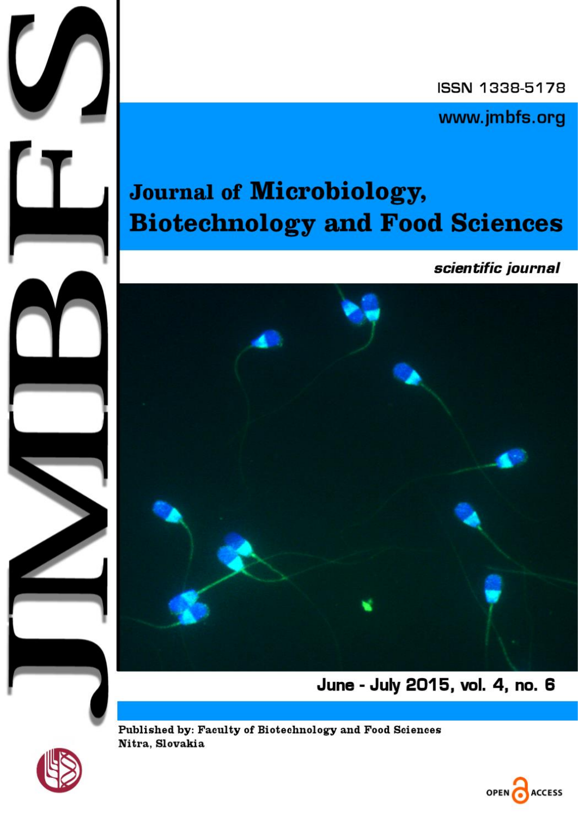ISSN 1338-5178

www.jmbfs.org

## Journal of Microbiology, **Biotechnology and Food Sciences**

scientific journal



June - July 2015, vol. 4, no. 6



J

Published by: Faculty of Biotechnology and Food Sciences Nitra, Slovakia